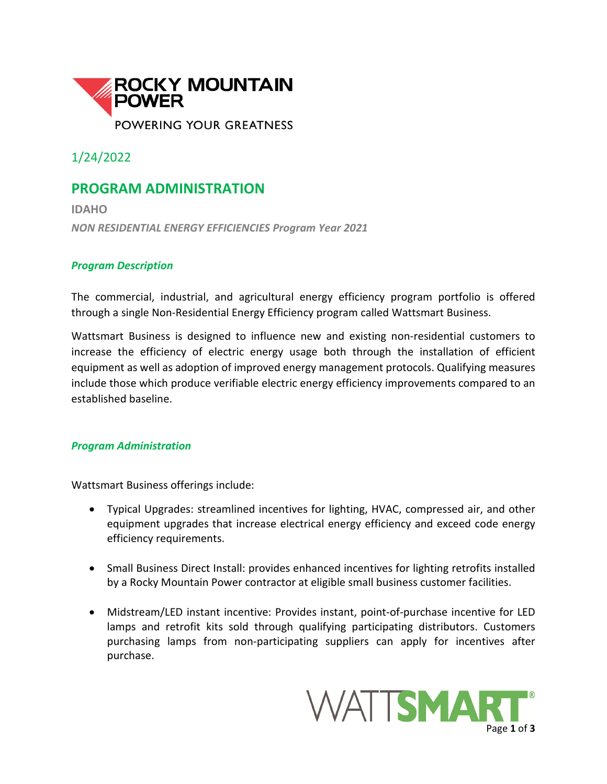

1/24/2022

## **PROGRAM ADMINISTRATION**

**IDAHO** *NON RESIDENTIAL ENERGY EFFICIENCIES Program Year 2021*

## *Program Description*

The commercial, industrial, and agricultural energy efficiency program portfolio is offered through a single Non-Residential Energy Efficiency program called Wattsmart Business.

Wattsmart Business is designed to influence new and existing non-residential customers to increase the efficiency of electric energy usage both through the installation of efficient equipment as well as adoption of improved energy management protocols. Qualifying measures include those which produce verifiable electric energy efficiency improvements compared to an established baseline.

## *Program Administration*

Wattsmart Business offerings include:

- Typical Upgrades: streamlined incentives for lighting, HVAC, compressed air, and other equipment upgrades that increase electrical energy efficiency and exceed code energy efficiency requirements.
- Small Business Direct Install: provides enhanced incentives for lighting retrofits installed by a Rocky Mountain Power contractor at eligible small business customer facilities.
- Midstream/LED instant incentive: Provides instant, point-of-purchase incentive for LED lamps and retrofit kits sold through qualifying participating distributors. Customers purchasing lamps from non-participating suppliers can apply for incentives after purchase.

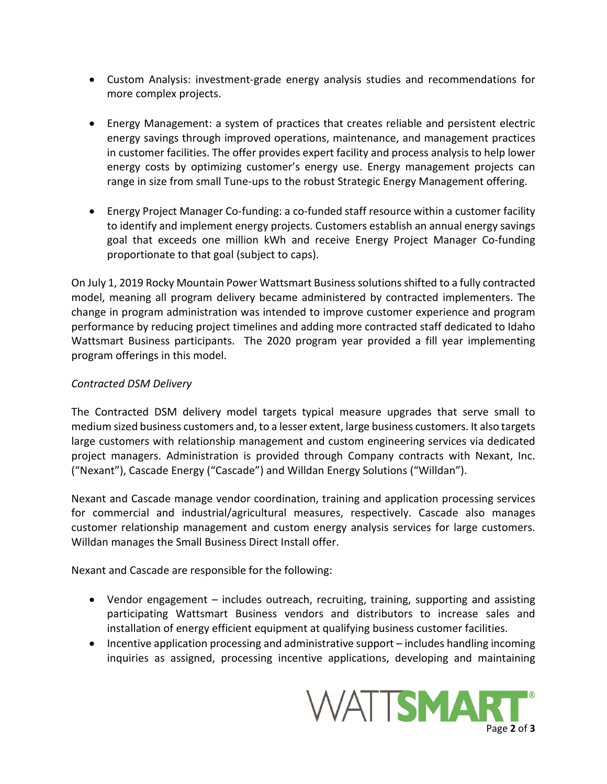- Custom Analysis: investment-grade energy analysis studies and recommendations for more complex projects.
- Energy Management: a system of practices that creates reliable and persistent electric energy savings through improved operations, maintenance, and management practices in customer facilities. The offer provides expert facility and process analysis to help lower energy costs by optimizing customer's energy use. Energy management projects can range in size from small Tune-ups to the robust Strategic Energy Management offering.
- Energy Project Manager Co-funding: a co-funded staff resource within a customer facility to identify and implement energy projects. Customers establish an annual energy savings goal that exceeds one million kWh and receive Energy Project Manager Co-funding proportionate to that goal (subject to caps).

On July 1, 2019 Rocky Mountain Power Wattsmart Business solutions shifted to a fully contracted model, meaning all program delivery became administered by contracted implementers. The change in program administration was intended to improve customer experience and program performance by reducing project timelines and adding more contracted staff dedicated to Idaho Wattsmart Business participants. The 2020 program year provided a fill year implementing program offerings in this model.

## *Contracted DSM Delivery*

The Contracted DSM delivery model targets typical measure upgrades that serve small to medium sized business customers and, to a lesser extent, large business customers. It also targets large customers with relationship management and custom engineering services via dedicated project managers. Administration is provided through Company contracts with Nexant, Inc. ("Nexant"), Cascade Energy ("Cascade") and Willdan Energy Solutions ("Willdan").

Nexant and Cascade manage vendor coordination, training and application processing services for commercial and industrial/agricultural measures, respectively. Cascade also manages customer relationship management and custom energy analysis services for large customers. Willdan manages the Small Business Direct Install offer.

Nexant and Cascade are responsible for the following:

- Vendor engagement includes outreach, recruiting, training, supporting and assisting participating Wattsmart Business vendors and distributors to increase sales and installation of energy efficient equipment at qualifying business customer facilities.
- Incentive application processing and administrative support includes handling incoming inquiries as assigned, processing incentive applications, developing and maintaining